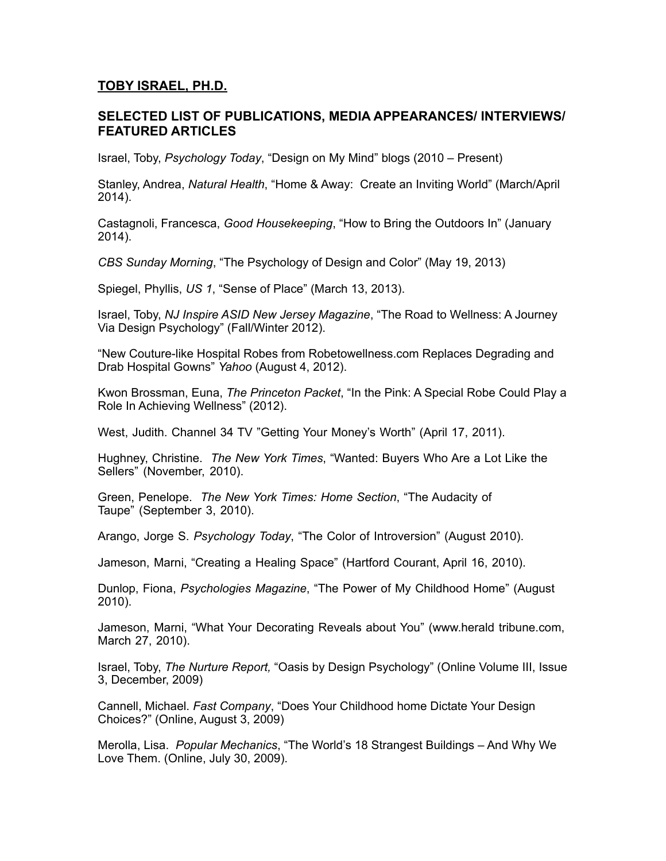## **TOBY ISRAEL, PH.D.**

## **SELECTED LIST OF PUBLICATIONS, MEDIA APPEARANCES/ INTERVIEWS/ FEATURED ARTICLES**

Israel, Toby, *Psychology Today*, "Design on My Mind" blogs (2010 – Present)

Stanley, Andrea, *Natural Health*, "Home & Away: Create an Inviting World" (March/April 2014).

Castagnoli, Francesca, *Good Housekeeping*, "How to Bring the Outdoors In" (January 2014).

*CBS Sunday Morning*, "The Psychology of Design and Color" (May 19, 2013)

Spiegel, Phyllis, *US 1*, "Sense of Place" (March 13, 2013).

Israel, Toby, *NJ Inspire ASID New Jersey Magazine*, "The Road to Wellness: A Journey Via Design Psychology" (Fall/Winter 2012).

"New Couture-like Hospital Robes from Robetowellness.com Replaces Degrading and Drab Hospital Gowns" *Yahoo* (August 4, 2012).

Kwon Brossman, Euna, *The Princeton Packet*, "In the Pink: A Special Robe Could Play a Role In Achieving Wellness" (2012).

West, Judith. Channel 34 TV "Getting Your Money's Worth" (April 17, 2011).

Hughney, Christine. *The New York Times*, "Wanted: Buyers Who Are a Lot Like the Sellers" (November, 2010).

Green, Penelope. *The New York Times: Home Section*, "The Audacity of Taupe" (September 3, 2010).

Arango, Jorge S. *Psychology Today*, "The Color of Introversion" (August 2010).

Jameson, Marni, "Creating a Healing Space" (Hartford Courant, April 16, 2010).

Dunlop, Fiona, *Psychologies Magazine*, "The Power of My Childhood Home" (August 2010).

Jameson, Marni, "What Your Decorating Reveals about You" (www.herald tribune.com, March 27, 2010).

Israel, Toby, *The Nurture Report,* "Oasis by Design Psychology" (Online Volume III, Issue 3, December, 2009)

Cannell, Michael. *Fast Company*, "Does Your Childhood home Dictate Your Design Choices?" (Online, August 3, 2009)

Merolla, Lisa. *Popular Mechanics*, "The World's 18 Strangest Buildings – And Why We Love Them. (Online, July 30, 2009).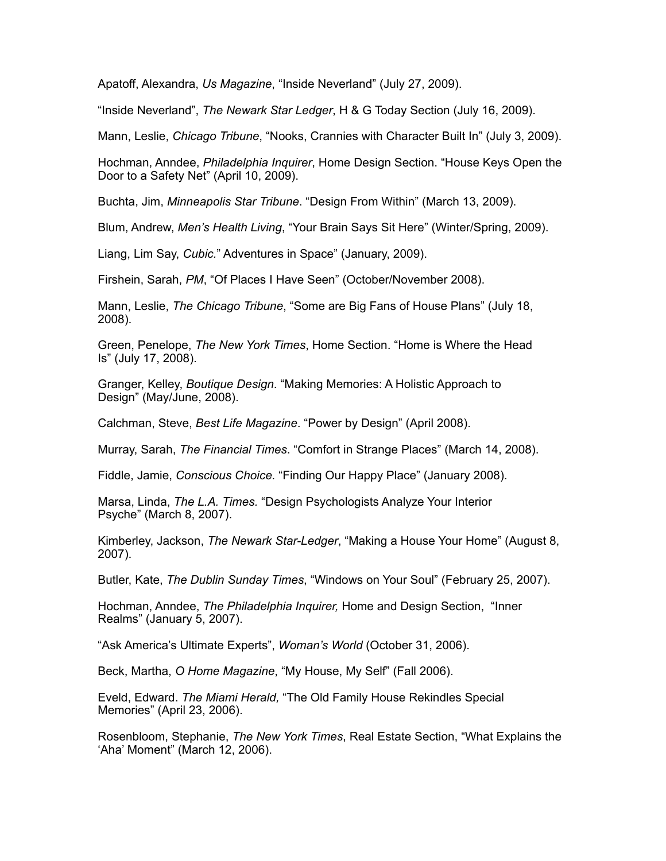Apatoff, Alexandra, *Us Magazine*, "Inside Neverland" (July 27, 2009).

"Inside Neverland", *The Newark Star Ledger*, H & G Today Section (July 16, 2009).

Mann, Leslie, *Chicago Tribune*, "Nooks, Crannies with Character Built In" (July 3, 2009).

Hochman, Anndee, *Philadelphia Inquirer*, Home Design Section. "House Keys Open the Door to a Safety Net" (April 10, 2009).

Buchta, Jim, *Minneapolis Star Tribune*. "Design From Within" (March 13, 2009).

Blum, Andrew, *Men's Health Living*, "Your Brain Says Sit Here" (Winter/Spring, 2009).

Liang, Lim Say, *Cubic.*" Adventures in Space" (January, 2009).

Firshein, Sarah, *PM*, "Of Places I Have Seen" (October/November 2008).

Mann, Leslie, *The Chicago Tribune*, "Some are Big Fans of House Plans" (July 18, 2008).

Green, Penelope, *The New York Times*, Home Section. "Home is Where the Head Is" (July 17, 2008).

Granger, Kelley, *Boutique Design*. "Making Memories: A Holistic Approach to Design" (May/June, 2008).

Calchman, Steve, *Best Life Magazine*. "Power by Design" (April 2008).

Murray, Sarah, *The Financial Times*. "Comfort in Strange Places" (March 14, 2008).

Fiddle, Jamie, *Conscious Choice.* "Finding Our Happy Place" (January 2008).

Marsa, Linda, *The L.A. Times.* "Design Psychologists Analyze Your Interior Psyche" (March 8, 2007).

Kimberley, Jackson, *The Newark Star-Ledger*, "Making a House Your Home" (August 8, 2007).

Butler, Kate, *The Dublin Sunday Times*, "Windows on Your Soul" (February 25, 2007).

Hochman, Anndee, *The Philadelphia Inquirer,* Home and Design Section, "Inner Realms" (January 5, 2007).

"Ask America's Ultimate Experts", *Woman's World* (October 31, 2006).

Beck, Martha, *O Home Magazine*, "My House, My Self" (Fall 2006).

Eveld, Edward. *The Miami Herald,* "The Old Family House Rekindles Special Memories" (April 23, 2006).

Rosenbloom, Stephanie, *The New York Times*, Real Estate Section, "What Explains the 'Aha' Moment" (March 12, 2006).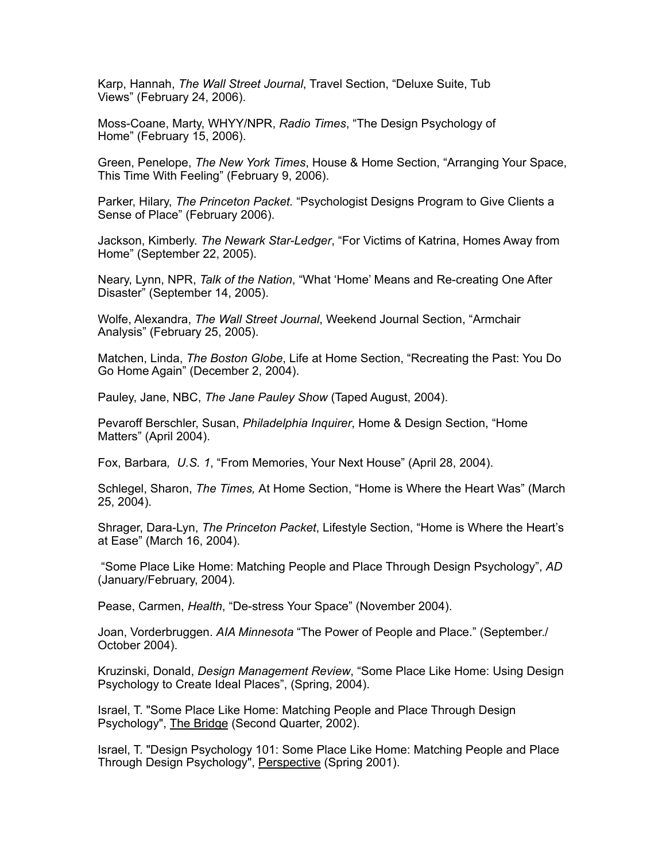Karp, Hannah, *The Wall Street Journal*, Travel Section, "Deluxe Suite, Tub Views" (February 24, 2006).

Moss-Coane, Marty, WHYY/NPR, *Radio Times*, "The Design Psychology of Home" (February 15, 2006).

Green, Penelope, *The New York Times*, House & Home Section, "Arranging Your Space, This Time With Feeling" (February 9, 2006).

Parker, Hilary, *The Princeton Packet.* "Psychologist Designs Program to Give Clients a Sense of Place" (February 2006).

Jackson, Kimberly. *The Newark Star-Ledger*, "For Victims of Katrina, Homes Away from Home" (September 22, 2005).

Neary, Lynn, NPR, *Talk of the Nation*, "What 'Home' Means and Re-creating One After Disaster" (September 14, 2005).

Wolfe, Alexandra, *The Wall Street Journal*, Weekend Journal Section, "Armchair Analysis" (February 25, 2005).

Matchen, Linda, *The Boston Globe*, Life at Home Section, "Recreating the Past: You Do Go Home Again" (December 2, 2004).

Pauley, Jane, NBC, *The Jane Pauley Show* (Taped August, 2004).

Pevaroff Berschler, Susan, *Philadelphia Inquirer*, Home & Design Section, "Home Matters" (April 2004).

Fox, Barbara*, U.S. 1*, "From Memories, Your Next House" (April 28, 2004).

Schlegel, Sharon, *The Times,* At Home Section, "Home is Where the Heart Was" (March 25, 2004).

Shrager, Dara-Lyn, *The Princeton Packet*, Lifestyle Section, "Home is Where the Heart's at Ease" (March 16, 2004).

 "Some Place Like Home: Matching People and Place Through Design Psychology", *AD* (January/February, 2004).

Pease, Carmen, *Health*, "De-stress Your Space" (November 2004).

Joan, Vorderbruggen. *AIA Minnesota* "The Power of People and Place." (September./ October 2004).

Kruzinski, Donald, *Design Management Review*, "Some Place Like Home: Using Design Psychology to Create Ideal Places", (Spring, 2004).

Israel, T. "Some Place Like Home: Matching People and Place Through Design Psychology", The Bridge (Second Quarter, 2002).

Israel, T. "Design Psychology 101: Some Place Like Home: Matching People and Place Through Design Psychology", Perspective (Spring 2001).